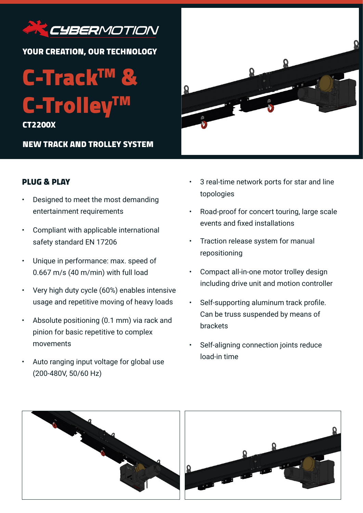

YOUR CREATION, OUR TECHNOLOGY

C-Track<sup>TN</sup> C-Trolley<sup>T</sup>

CT2200X

NEW TRACK AND TROLLEY SYSTEM



- Designed to meet the most demanding entertainment requirements
- Compliant with applicable international safety standard EN 17206
- Unique in performance: max. speed of 0.667 m/s (40 m/min) with full load
- Very high duty cycle (60%) enables intensive usage and repetitive moving of heavy loads
- Absolute positioning (0.1 mm) via rack and pinion for basic repetitive to complex movements
- Auto ranging input voltage for global use (200-480V, 50/60 Hz)



- 3 real-time network ports for star and line topologies
- Road-proof for concert touring, large scale events and fixed installations
- Traction release system for manual repositioning
- Compact all-in-one motor trolley design including drive unit and motion controller
- Self-supporting aluminum track profile. Can be truss suspended by means of brackets
- Self-aligning connection joints reduce load-in time

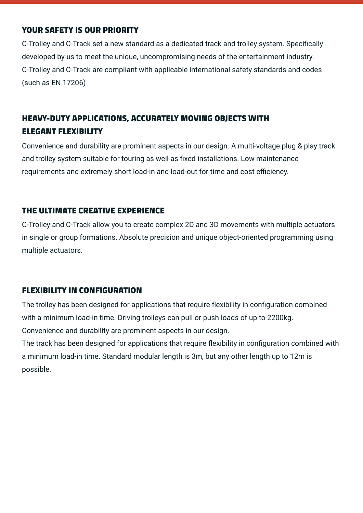### YOUR SAFETY IS OUR PRIORITY

C-Trolley and C-Track set a new standard as a dedicated track and trolley system. Specifically developed by us to meet the unique, uncompromising needs of the entertainment industry. C-Trolley and C-Track are compliant with applicable international safety standards and codes (such as EN 17206)

## HEAVY-DUTY APPLICATIONS, ACCURATELY MOVING OBJECTS WITH ELEGANT FLEXIBILITY

Convenience and durability are prominent aspects in our design. A multi-voltage plug & play track and trolley system suitable for touring as well as fixed installations. Low maintenance requirements and extremely short load-in and load-out for time and cost efficiency.

### THE ULTIMATE CREATIVE EXPERIENCE

C-Trolley and C-Track allow you to create complex 2D and 3D movements with multiple actuators in single or group formations. Absolute precision and unique object-oriented programming using multiple actuators.

### FLEXIBILITY IN CONFIGURATION

The trolley has been designed for applications that require flexibility in configuration combined with a minimum load-in time. Driving trolleys can pull or push loads of up to 2200kg. Convenience and durability are prominent aspects in our design.

The track has been designed for applications that require flexibility in configuration combined with a minimum load-in time. Standard modular length is 3m, but any other length up to 12m is possible.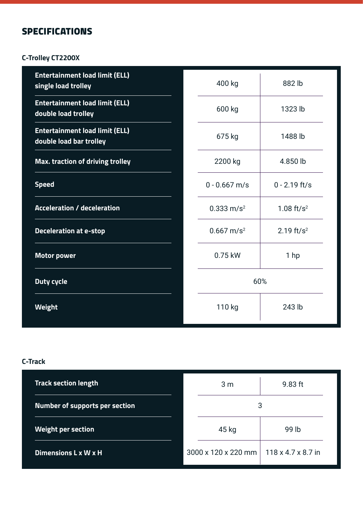# SPECIFICATIONS

### **C-Trolley CT2200X**

| <b>Entertainment load limit (ELL)</b><br>single load trolley     | 400 kg                   | 882 lb          |  |
|------------------------------------------------------------------|--------------------------|-----------------|--|
| <b>Entertainment load limit (ELL)</b><br>double load trolley     | 600 kg                   | 1323 lb         |  |
| <b>Entertainment load limit (ELL)</b><br>double load bar trolley | 675 kg                   | 1488 lb         |  |
| Max. traction of driving trolley                                 | 2200 kg                  | 4.850 lb        |  |
| <b>Speed</b>                                                     | $0 - 0.667$ m/s          | $0 - 2.19$ ft/s |  |
| <b>Acceleration / deceleration</b>                               | $0.333$ m/s <sup>2</sup> | 1.08 $ft/s^2$   |  |
| <b>Deceleration at e-stop</b>                                    | $0.667$ m/s <sup>2</sup> | 2.19 $ft/s^2$   |  |
| <b>Motor power</b>                                               | 0.75 kW                  | 1 <sub>hp</sub> |  |
| <b>Duty cycle</b>                                                |                          | 60%             |  |
| <b>Weight</b>                                                    | 110 kg                   | 243 lb          |  |

#### **C-Track**

| <b>Track section length</b>           | 3 <sub>m</sub>      | $9.83$ ft                      |  |
|---------------------------------------|---------------------|--------------------------------|--|
| <b>Number of supports per section</b> |                     | 3                              |  |
| <b>Weight per section</b>             | 45 kg               | 99 lb                          |  |
| Dimensions L x W x H                  | 3000 x 120 x 220 mm | $118 \times 4.7 \times 8.7$ in |  |